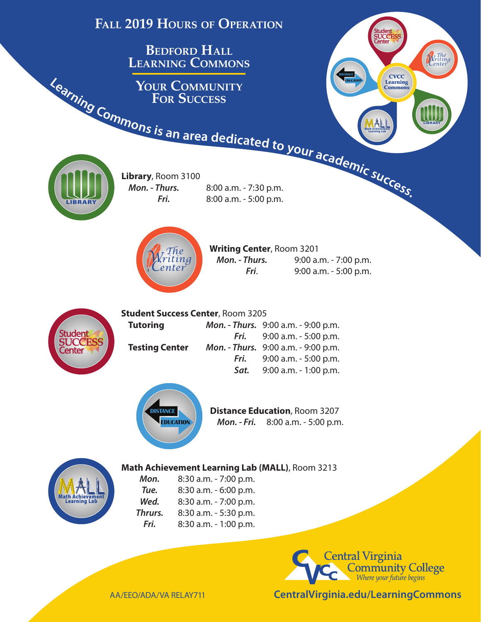



AA/EEO/ADA/VA RELAY711

**CentralVirginia.edu/LearningCommons**